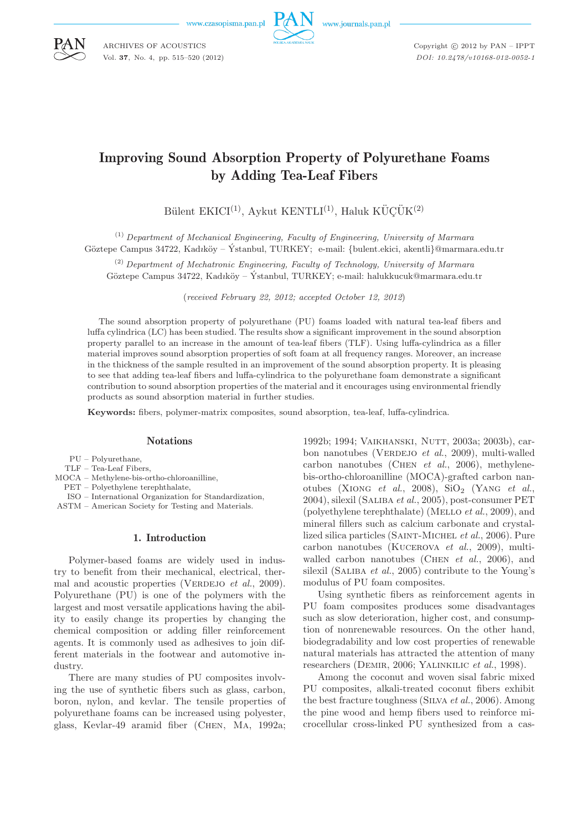www.czasopisma.pan.pl

ARCHIVES OF ACOUSTICS Vol. **37**, No. 4, pp. 515–520 (2012)



www.journals.pan.pl

Copyright  $\odot$  2012 by PAN - IPPT *DOI: 10.2478/v10168-012-0052-1*

# Improving Sound Absorption Property of Polyurethane Foams by Adding Tea-Leaf Fibers

Bülent EKICI<sup>(1)</sup>, Aykut KENTLI<sup>(1)</sup>, Haluk KÜÇÜK<sup>(2)</sup>

(1) *Department of Mechanical Engineering, Faculty of Engineering, University of Marmara* Göztepe Campus 34722, Kadıköy – Ýstanbul, TURKEY; e-mail: {bulent.ekici, akentli}@marmara.edu.tr

(2) *Department of Mechatronic Engineering, Faculty of Technology, University of Marmara* Göztepe Campus 34722, Kadıköy – Ýstanbul, TURKEY; e-mail: halukkucuk@marmara.edu.tr

(*received February 22, 2012; accepted October 12, 2012*)

The sound absorption property of polyurethane (PU) foams loaded with natural tea-leaf fibers and luffa cylindrica (LC) has been studied. The results show a significant improvement in the sound absorption property parallel to an increase in the amount of tea-leaf fibers (TLF). Using luffa-cylindrica as a filler material improves sound absorption properties of soft foam at all frequency ranges. Moreover, an increase in the thickness of the sample resulted in an improvement of the sound absorption property. It is pleasing to see that adding tea-leaf fibers and luffa-cylindrica to the polyurethane foam demonstrate a significant contribution to sound absorption properties of the material and it encourages using environmental friendly products as sound absorption material in further studies.

**Keywords:** fibers, polymer-matrix composites, sound absorption, tea-leaf, luffa-cylindrica.

## **Notations**

PU – Polyurethane,

- TLF Tea-Leaf Fibers,
- MOCA Methylene-bis-ortho-chloroanilline,
- PET Polyethylene terephthalate,
- ISO International Organization for Standardization,
- ASTM American Society for Testing and Materials.

# 1. Introduction

Polymer-based foams are widely used in industry to benefit from their mechanical, electrical, thermal and acoustic properties (VERDEJO *et al.*, 2009). Polyurethane (PU) is one of the polymers with the largest and most versatile applications having the ability to easily change its properties by changing the chemical composition or adding filler reinforcement agents. It is commonly used as adhesives to join different materials in the footwear and automotive industry.

There are many studies of PU composites involving the use of synthetic fibers such as glass, carbon, boron, nylon, and kevlar. The tensile properties of polyurethane foams can be increased using polyester, glass, Kevlar-49 aramid fiber (Chen, Ma, 1992a; 1992b; 1994; VAIKHANSKI, NUTT, 2003a; 2003b), carbon nanotubes (VERDEJO *et al.*, 2009), multi-walled carbon nanotubes (Chen *et al.*, 2006), methylenebis-ortho-chloroanilline (MOCA)-grafted carbon nanotubes (XIONG *et al.*, 2008),  $\text{SiO}_2$  (YANG *et al.*, 2004), silexil (Saliba *et al.*, 2005), post-consumer PET (polyethylene terephthalate) (Mello *et al.*, 2009), and mineral fillers such as calcium carbonate and crystallized silica particles (Saint-Michel *et al.*, 2006). Pure carbon nanotubes (Kucerova *et al.*, 2009), multiwalled carbon nanotubes (Chen *et al.*, 2006), and silexil (SALIBA *et al.*, 2005) contribute to the Young's modulus of PU foam composites.

Using synthetic fibers as reinforcement agents in PU foam composites produces some disadvantages such as slow deterioration, higher cost, and consumption of nonrenewable resources. On the other hand, biodegradability and low cost properties of renewable natural materials has attracted the attention of many researchers (Demir, 2006; Yalinkilic *et al.*, 1998).

Among the coconut and woven sisal fabric mixed PU composites, alkali-treated coconut fibers exhibit the best fracture toughness (Silva *et al.*, 2006). Among the pine wood and hemp fibers used to reinforce microcellular cross-linked PU synthesized from a cas-

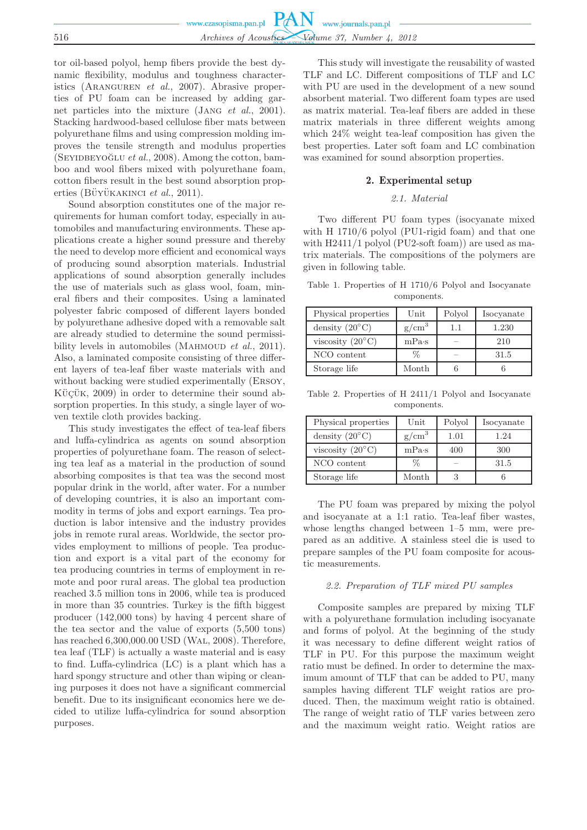tor oil-based polyol, hemp fibers provide the best dynamic flexibility, modulus and toughness characteristics (Aranguren *et al.*, 2007). Abrasive properties of PU foam can be increased by adding garnet particles into the mixture (Jang *et al.*, 2001). Stacking hardwood-based cellulose fiber mats between polyurethane films and using compression molding improves the tensile strength and modulus properties  $(SEYIDBEYOGLU et al., 2008)$ . Among the cotton, bamboo and wool fibers mixed with polyurethane foam, cotton fibers result in the best sound absorption properties (BÜYÜKAKINCI et al., 2011).

Sound absorption constitutes one of the major requirements for human comfort today, especially in automobiles and manufacturing environments. These applications create a higher sound pressure and thereby the need to develop more efficient and economical ways of producing sound absorption materials. Industrial applications of sound absorption generally includes the use of materials such as glass wool, foam, mineral fibers and their composites. Using a laminated polyester fabric composed of different layers bonded by polyurethane adhesive doped with a removable salt are already studied to determine the sound permissibility levels in automobiles (MAHMOUD *et al.*, 2011). Also, a laminated composite consisting of three different layers of tea-leaf fiber waste materials with and without backing were studied experimentally (Ersoy, KÜÇÜK,  $2009$ ) in order to determine their sound absorption properties. In this study, a single layer of woven textile cloth provides backing.

This study investigates the effect of tea-leaf fibers and luffa-cylindrica as agents on sound absorption properties of polyurethane foam. The reason of selecting tea leaf as a material in the production of sound absorbing composites is that tea was the second most popular drink in the world, after water. For a number of developing countries, it is also an important commodity in terms of jobs and export earnings. Tea production is labor intensive and the industry provides jobs in remote rural areas. Worldwide, the sector provides employment to millions of people. Tea production and export is a vital part of the economy for tea producing countries in terms of employment in remote and poor rural areas. The global tea production reached 3.5 million tons in 2006, while tea is produced in more than 35 countries. Turkey is the fifth biggest producer (142,000 tons) by having 4 percent share of the tea sector and the value of exports (5,500 tons) has reached 6,300,000.00 USD (Wal, 2008). Therefore, tea leaf (TLF) is actually a waste material and is easy to find. Luffa-cylindrica (LC) is a plant which has a hard spongy structure and other than wiping or cleaning purposes it does not have a significant commercial benefit. Due to its insignificant economics here we decided to utilize luffa-cylindrica for sound absorption purposes.

This study will investigate the reusability of wasted TLF and LC. Different compositions of TLF and LC with PU are used in the development of a new sound absorbent material. Two different foam types are used as matrix material. Tea-leaf fibers are added in these matrix materials in three different weights among which 24% weight tea-leaf composition has given the best properties. Later soft foam and LC combination was examined for sound absorption properties.

## 2. Experimental setup

# *2.1. Material*

Two different PU foam types (isocyanate mixed with H 1710/6 polyol (PU1-rigid foam) and that one with H2411/1 polyol (PU2-soft foam)) are used as matrix materials. The compositions of the polymers are given in following table.

Table 1. Properties of H 1710/6 Polyol and Isocyanate components.

| Physical properties       | Unit     | Polyol | Isocyanate |
|---------------------------|----------|--------|------------|
| density $(20^{\circ}C)$   | $g/cm^3$ | 1.1    | 1.230      |
| viscosity $(20^{\circ}C)$ | mPa·s    |        | 210        |
| NCO content               | ℅        |        | 31.5       |
| Storage life              | Month    |        |            |

Table 2. Properties of H 2411/1 Polyol and Isocyanate components.

| Physical properties       | Unit              | Polyol | Isocyanate |
|---------------------------|-------------------|--------|------------|
| density $(20^{\circ}C)$   | g/cm <sup>3</sup> | 1.01   | 1.24       |
| viscosity $(20^{\circ}C)$ | mPa·s             | 400    | 300        |
| NCO content               | $\%$              |        | 31.5       |
| Storage life              | Month             |        |            |

The PU foam was prepared by mixing the polyol and isocyanate at a 1:1 ratio. Tea-leaf fiber wastes, whose lengths changed between 1–5 mm, were prepared as an additive. A stainless steel die is used to prepare samples of the PU foam composite for acoustic measurements.

## *2.2. Preparation of TLF mixed PU samples*

Composite samples are prepared by mixing TLF with a polyurethane formulation including isocyanate and forms of polyol. At the beginning of the study it was necessary to define different weight ratios of TLF in PU. For this purpose the maximum weight ratio must be defined. In order to determine the maximum amount of TLF that can be added to PU, many samples having different TLF weight ratios are produced. Then, the maximum weight ratio is obtained. The range of weight ratio of TLF varies between zero and the maximum weight ratio. Weight ratios are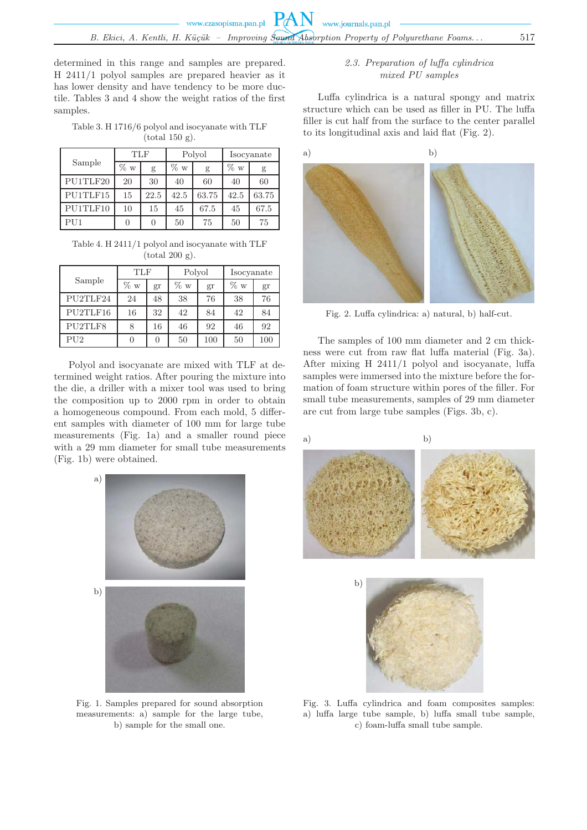determined in this range and samples are prepared. H 2411/1 polyol samples are prepared heavier as it has lower density and have tendency to be more ductile. Tables 3 and 4 show the weight ratios of the first samples.

Table 3. H 1716/6 polyol and isocyanate with TLF  $(total 150 g)$ .

| Sample   | <b>TLF</b> |      | Polyol |       | Isocyanate |       |
|----------|------------|------|--------|-------|------------|-------|
|          | % w        | g    | $\%$ w | g     | $\%$ w     | g     |
| PU1TLF20 | 20         | 30   | 40     | 60    | 40         | 60    |
| PU1TLF15 | 15         | 22.5 | 42.5   | 63.75 | 42.5       | 63.75 |
| PU1TLF10 | 10         | 15   | 45     | 67.5  | 45         | 67.5  |
| PU1      |            | 0    | 50     | 75    | 50         | 75    |

Table 4. H 2411/1 polyol and isocyanate with TLF  $(total 200 g)$ .

|          | TLF    |    | Polyol |     | Isocyanate |     |
|----------|--------|----|--------|-----|------------|-----|
| Sample   | $\%$ w | gr | $\%$ w | gr  | $\%~w$     | gr  |
| PU2TLF24 | 24     | 48 | 38     | 76  | 38         | 76  |
| PU2TLF16 | 16     | 32 | 42     | 84  | 42         | 84  |
| PU2TLF8  | 8      | 16 | 46     | 92  | 46         | 92  |
| PU2      |        |    | 50     | 100 | 50         | 100 |

Polyol and isocyanate are mixed with TLF at determined weight ratios. After pouring the mixture into the die, a driller with a mixer tool was used to bring the composition up to 2000 rpm in order to obtain a homogeneous compound. From each mold, 5 different samples with diameter of 100 mm for large tube measurements (Fig. 1a) and a smaller round piece with a 29 mm diameter for small tube measurements (Fig. 1b) were obtained.



Fig. 1. Samples prepared for sound absorption measurements: a) sample for the large tube, b) sample for the small one.

# *2.3. Preparation of luffa cylindrica mixed PU samples*

Luffa cylindrica is a natural spongy and matrix structure which can be used as filler in PU. The luffa filler is cut half from the surface to the center parallel to its longitudinal axis and laid flat (Fig. 2).



Fig. 2. Luffa cylindrica: a) natural, b) half-cut.

The samples of 100 mm diameter and 2 cm thickness were cut from raw flat luffa material (Fig. 3a). After mixing H 2411/1 polyol and isocyanate, luffa samples were immersed into the mixture before the formation of foam structure within pores of the filler. For small tube measurements, samples of 29 mm diameter are cut from large tube samples (Figs. 3b, c).





Fig. 3. Luffa cylindrica and foam composites samples: a) luffa large tube sample, b) luffa small tube sample, c) foam-luffa small tube sample.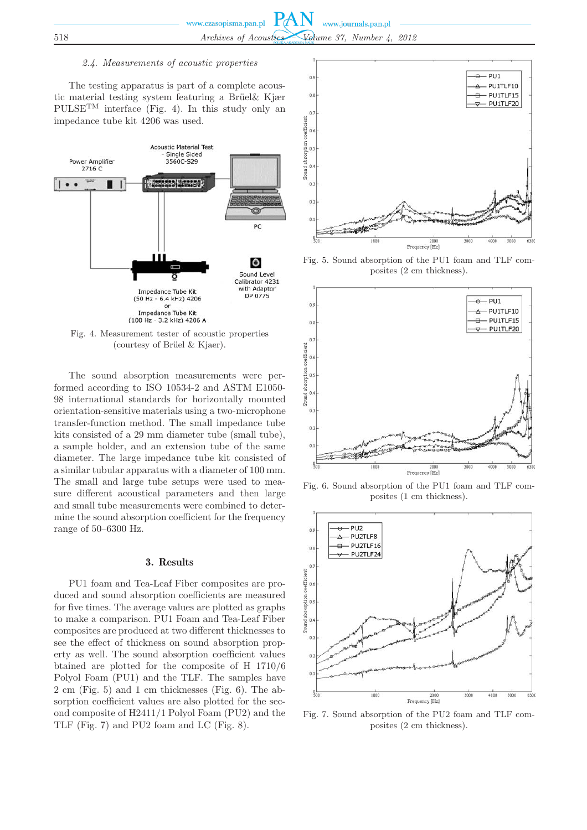#### *2.4. Measurements of acoustic properties*

The testing apparatus is part of a complete acoustic material testing system featuring a Brüel& Kjær  $\text{PULSE}^{\text{TM}}$  interface (Fig. 4). In this study only an impedance tube kit 4206 was used.



Fig. 4. Measurement tester of acoustic properties (courtesy of Brüel  $&$  Kjaer).

The sound absorption measurements were performed according to ISO 10534-2 and ASTM E1050- 98 international standards for horizontally mounted orientation-sensitive materials using a two-microphone transfer-function method. The small impedance tube kits consisted of a 29 mm diameter tube (small tube), a sample holder, and an extension tube of the same diameter. The large impedance tube kit consisted of a similar tubular apparatus with a diameter of 100 mm. The small and large tube setups were used to measure different acoustical parameters and then large and small tube measurements were combined to determine the sound absorption coefficient for the frequency range of 50–6300 Hz.

## 3. Results

PU1 foam and Tea-Leaf Fiber composites are produced and sound absorption coefficients are measured for five times. The average values are plotted as graphs to make a comparison. PU1 Foam and Tea-Leaf Fiber composites are produced at two different thicknesses to see the effect of thickness on sound absorption property as well. The sound absorption coefficient values btained are plotted for the composite of H 1710/6 Polyol Foam (PU1) and the TLF. The samples have 2 cm (Fig. 5) and 1 cm thicknesses (Fig. 6). The absorption coefficient values are also plotted for the second composite of H2411/1 Polyol Foam (PU2) and the TLF (Fig. 7) and PU2 foam and LC (Fig. 8).



Fig. 5. Sound absorption of the PU1 foam and TLF composites (2 cm thickness).



Fig. 6. Sound absorption of the PU1 foam and TLF composites (1 cm thickness).



Fig. 7. Sound absorption of the PU2 foam and TLF composites (2 cm thickness).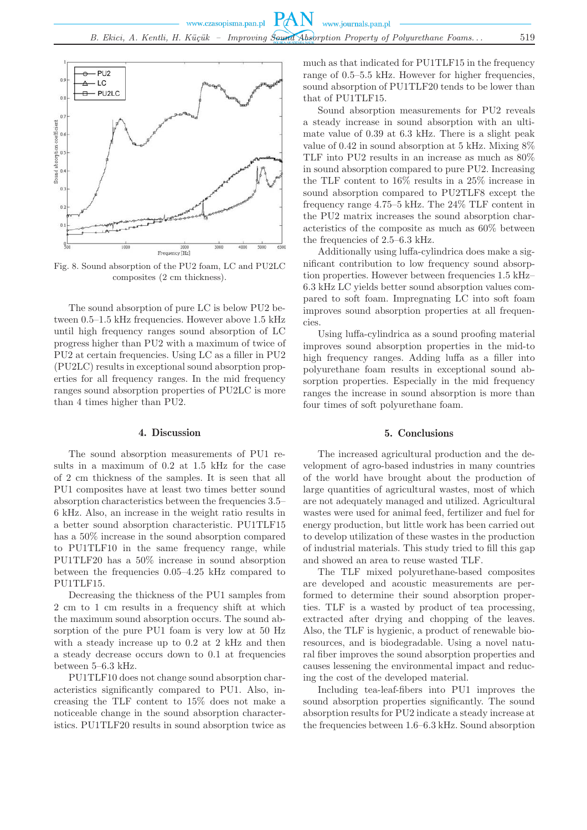

Fig. 8. Sound absorption of the PU2 foam, LC and PU2LC composites (2 cm thickness).

The sound absorption of pure LC is below PU2 between 0.5–1.5 kHz frequencies. However above 1.5 kHz until high frequency ranges sound absorption of LC progress higher than PU2 with a maximum of twice of PU2 at certain frequencies. Using LC as a filler in PU2 (PU2LC) results in exceptional sound absorption properties for all frequency ranges. In the mid frequency ranges sound absorption properties of PU2LC is more than 4 times higher than PU2.

### 4. Discussion

The sound absorption measurements of PU1 results in a maximum of 0.2 at 1.5 kHz for the case of 2 cm thickness of the samples. It is seen that all PU1 composites have at least two times better sound absorption characteristics between the frequencies 3.5– 6 kHz. Also, an increase in the weight ratio results in a better sound absorption characteristic. PU1TLF15 has a 50% increase in the sound absorption compared to PU1TLF10 in the same frequency range, while PU1TLF20 has a 50% increase in sound absorption between the frequencies 0.05–4.25 kHz compared to PU1TLF15.

Decreasing the thickness of the PU1 samples from 2 cm to 1 cm results in a frequency shift at which the maximum sound absorption occurs. The sound absorption of the pure PU1 foam is very low at 50 Hz with a steady increase up to 0.2 at 2 kHz and then a steady decrease occurs down to 0.1 at frequencies between 5–6.3 kHz.

PU1TLF10 does not change sound absorption characteristics significantly compared to PU1. Also, increasing the TLF content to 15% does not make a noticeable change in the sound absorption characteristics. PU1TLF20 results in sound absorption twice as

much as that indicated for PU1TLF15 in the frequency range of 0.5–5.5 kHz. However for higher frequencies, sound absorption of PU1TLF20 tends to be lower than that of PU1TLF15.

Sound absorption measurements for PU2 reveals a steady increase in sound absorption with an ultimate value of 0.39 at 6.3 kHz. There is a slight peak value of 0.42 in sound absorption at 5 kHz. Mixing 8% TLF into PU2 results in an increase as much as 80% in sound absorption compared to pure PU2. Increasing the TLF content to 16% results in a 25% increase in sound absorption compared to PU2TLF8 except the frequency range 4.75–5 kHz. The 24% TLF content in the PU2 matrix increases the sound absorption characteristics of the composite as much as 60% between the frequencies of 2.5–6.3 kHz.

Additionally using luffa-cylindrica does make a significant contribution to low frequency sound absorption properties. However between frequencies 1.5 kHz– 6.3 kHz LC yields better sound absorption values compared to soft foam. Impregnating LC into soft foam improves sound absorption properties at all frequencies.

Using luffa-cylindrica as a sound proofing material improves sound absorption properties in the mid-to high frequency ranges. Adding luffa as a filler into polyurethane foam results in exceptional sound absorption properties. Especially in the mid frequency ranges the increase in sound absorption is more than four times of soft polyurethane foam.

### 5. Conclusions

The increased agricultural production and the development of agro-based industries in many countries of the world have brought about the production of large quantities of agricultural wastes, most of which are not adequately managed and utilized. Agricultural wastes were used for animal feed, fertilizer and fuel for energy production, but little work has been carried out to develop utilization of these wastes in the production of industrial materials. This study tried to fill this gap and showed an area to reuse wasted TLF.

The TLF mixed polyurethane-based composites are developed and acoustic measurements are performed to determine their sound absorption properties. TLF is a wasted by product of tea processing, extracted after drying and chopping of the leaves. Also, the TLF is hygienic, a product of renewable bioresources, and is biodegradable. Using a novel natural fiber improves the sound absorption properties and causes lessening the environmental impact and reducing the cost of the developed material.

Including tea-leaf-fibers into PU1 improves the sound absorption properties significantly. The sound absorption results for PU2 indicate a steady increase at the frequencies between 1.6–6.3 kHz. Sound absorption